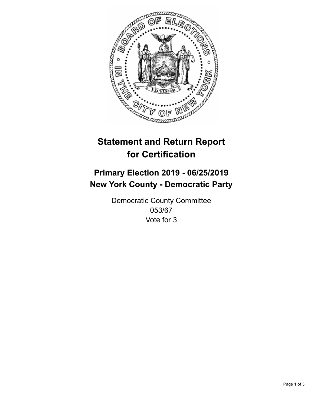

## **Statement and Return Report for Certification**

## **Primary Election 2019 - 06/25/2019 New York County - Democratic Party**

Democratic County Committee 053/67 Vote for 3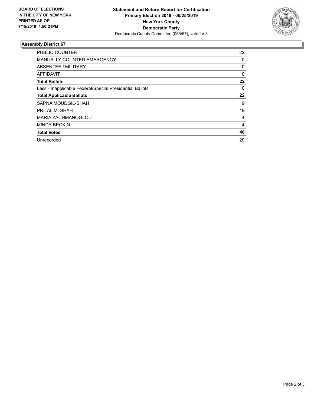

## **Assembly District 67**

| <b>PUBLIC COUNTER</b>                                    | 22       |
|----------------------------------------------------------|----------|
| <b>MANUALLY COUNTED EMERGENCY</b>                        | 0        |
| ABSENTEE / MILITARY                                      | 0        |
| AFFIDAVIT                                                | $\Omega$ |
| <b>Total Ballots</b>                                     | 22       |
| Less - Inapplicable Federal/Special Presidential Ballots | 0        |
| <b>Total Applicable Ballots</b>                          | 22       |
| SAPNA MOUDGIL-SHAH                                       | 19       |
| PRITAL M. SHAH                                           | 19       |
| <b>MARIA ZACHMANOGLOU</b>                                | 4        |
| <b>MINDY BECKIN</b>                                      | 4        |
| <b>Total Votes</b>                                       | 46       |
| Unrecorded                                               | 20       |